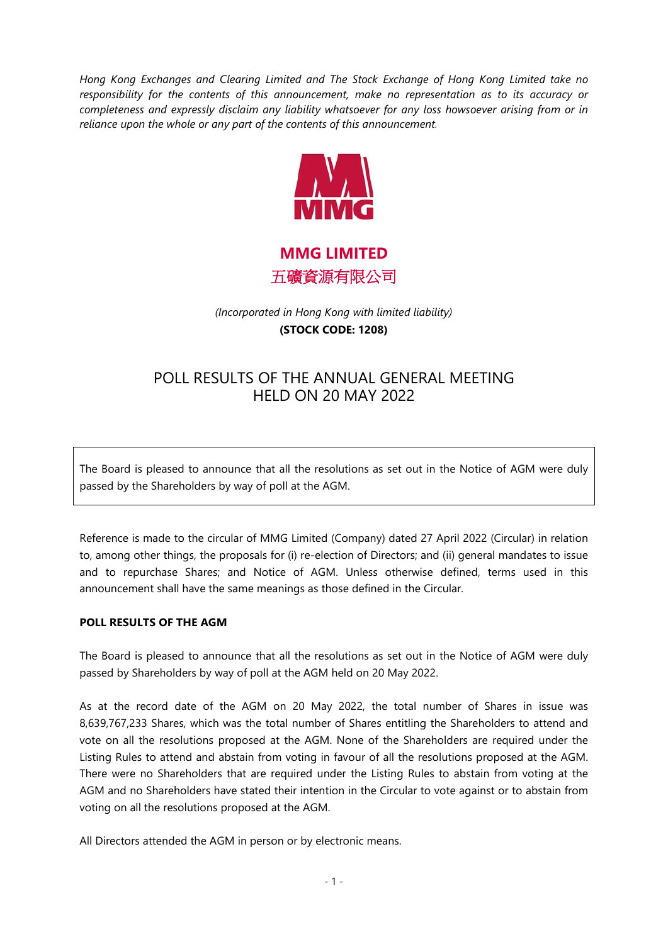*Hong Kong Exchanges and Clearing Limited and The Stock Exchange of Hong Kong Limited take no responsibility for the contents of this announcement, make no representation as to its accuracy or completeness and expressly disclaim any liability whatsoever for any loss howsoever arising from or in reliance upon the whole or any part of the contents of this announcement.*



**MMG LIMITED** 五礦資源有限公司

*(Incorporated in Hong Kong with limited liability)*  **(STOCK CODE: 1208)**

## POLL RESULTS OF THE ANNUAL GENERAL MEETING HELD ON 20 MAY 2022

The Board is pleased to announce that all the resolutions as set out in the Notice of AGM were duly passed by the Shareholders by way of poll at the AGM.

Reference is made to the circular of MMG Limited (Company) dated 27 April 2022 (Circular) in relation to, among other things, the proposals for (i) re-election of Directors; and (ii) general mandates to issue and to repurchase Shares; and Notice of AGM. Unless otherwise defined, terms used in this announcement shall have the same meanings as those defined in the Circular.

## **POLL RESULTS OF THE AGM**

The Board is pleased to announce that all the resolutions as set out in the Notice of AGM were duly passed by Shareholders by way of poll at the AGM held on 20 May 2022.

As at the record date of the AGM on 20 May 2022, the total number of Shares in issue was 8,639,767,233 Shares, which was the total number of Shares entitling the Shareholders to attend and vote on all the resolutions proposed at the AGM. None of the Shareholders are required under the Listing Rules to attend and abstain from voting in favour of all the resolutions proposed at the AGM. There were no Shareholders that are required under the Listing Rules to abstain from voting at the AGM and no Shareholders have stated their intention in the Circular to vote against or to abstain from voting on all the resolutions proposed at the AGM.

All Directors attended the AGM in person or by electronic means.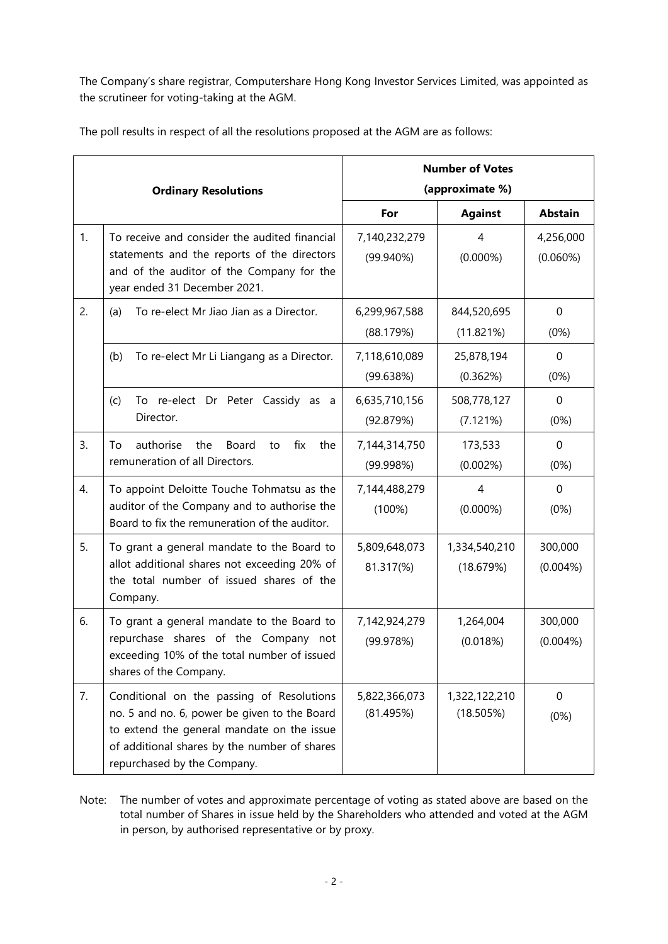The Company's share registrar, Computershare Hong Kong Investor Services Limited, was appointed as the scrutineer for voting-taking at the AGM.

|  | The poll results in respect of all the resolutions proposed at the AGM are as follows: |  |
|--|----------------------------------------------------------------------------------------|--|
|  |                                                                                        |  |

| <b>Ordinary Resolutions</b> |                                                                                                                                                                                                                        | <b>Number of Votes</b><br>(approximate %) |                               |                          |
|-----------------------------|------------------------------------------------------------------------------------------------------------------------------------------------------------------------------------------------------------------------|-------------------------------------------|-------------------------------|--------------------------|
|                             |                                                                                                                                                                                                                        | For                                       | <b>Against</b>                | <b>Abstain</b>           |
| 1.                          | To receive and consider the audited financial<br>statements and the reports of the directors<br>and of the auditor of the Company for the<br>year ended 31 December 2021.                                              | 7,140,232,279<br>$(99.940\%)$             | $\overline{4}$<br>$(0.000\%)$ | 4,256,000<br>$(0.060\%)$ |
| 2.                          | To re-elect Mr Jiao Jian as a Director.<br>(a)                                                                                                                                                                         | 6,299,967,588<br>(88.179%)                | 844,520,695<br>(11.821%)      | 0<br>(0%)                |
|                             | To re-elect Mr Li Liangang as a Director.<br>(b)                                                                                                                                                                       | 7,118,610,089<br>(99.638%)                | 25,878,194<br>(0.362%)        | 0<br>(0%)                |
|                             | To re-elect Dr Peter Cassidy as a<br>(c)<br>Director.                                                                                                                                                                  | 6,635,710,156<br>(92.879%)                | 508,778,127<br>(7.121%)       | 0<br>(0%)                |
| 3.                          | authorise<br>the<br>Board<br>fix<br>the<br>To<br>to<br>remuneration of all Directors.                                                                                                                                  | 7,144,314,750<br>(99.998%)                | 173,533<br>(0.002%)           | $\mathbf{0}$<br>(0%)     |
| 4.                          | To appoint Deloitte Touche Tohmatsu as the<br>auditor of the Company and to authorise the<br>Board to fix the remuneration of the auditor.                                                                             | 7,144,488,279<br>(100%)                   | $\overline{4}$<br>$(0.000\%)$ | $\mathbf 0$<br>(0%)      |
| 5.                          | To grant a general mandate to the Board to<br>allot additional shares not exceeding 20% of<br>the total number of issued shares of the<br>Company.                                                                     | 5,809,648,073<br>81.317(%)                | 1,334,540,210<br>(18.679%)    | 300,000<br>$(0.004\%)$   |
| 6.                          | To grant a general mandate to the Board to<br>repurchase shares of the Company not<br>exceeding 10% of the total number of issued<br>shares of the Company.                                                            | 7,142,924,279<br>(99.978%)                | 1,264,004<br>(0.018%)         | 300,000<br>$(0.004\%)$   |
| 7.                          | Conditional on the passing of Resolutions<br>no. 5 and no. 6, power be given to the Board<br>to extend the general mandate on the issue<br>of additional shares by the number of shares<br>repurchased by the Company. | 5,822,366,073<br>(81.495%)                | 1,322,122,210<br>(18.505%)    | 0<br>(0%)                |

Note: The number of votes and approximate percentage of voting as stated above are based on the total number of Shares in issue held by the Shareholders who attended and voted at the AGM in person, by authorised representative or by proxy.